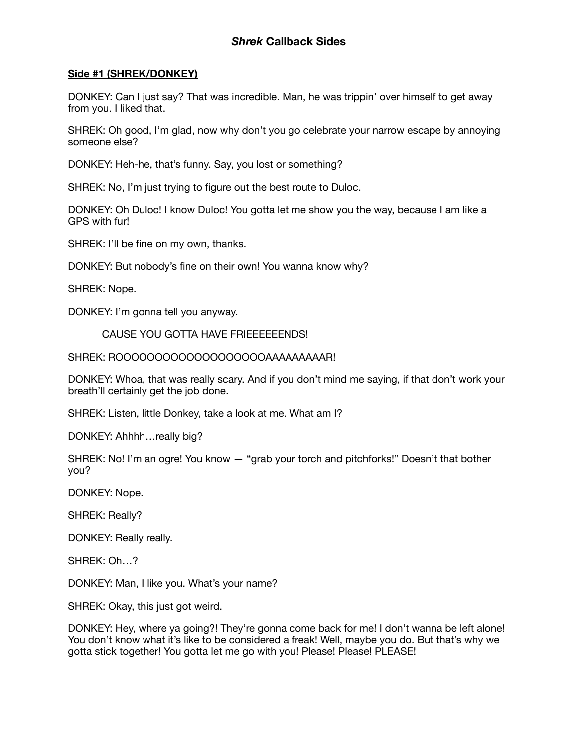## **Side #1 (SHREK/DONKEY)**

DONKEY: Can I just say? That was incredible. Man, he was trippin' over himself to get away from you. I liked that.

SHREK: Oh good, I'm glad, now why don't you go celebrate your narrow escape by annoying someone else?

DONKEY: Heh-he, that's funny. Say, you lost or something?

SHREK: No, I'm just trying to figure out the best route to Duloc.

DONKEY: Oh Duloc! I know Duloc! You gotta let me show you the way, because I am like a GPS with fur!

SHREK: I'll be fine on my own, thanks.

DONKEY: But nobody's fine on their own! You wanna know why?

SHREK: Nope.

DONKEY: I'm gonna tell you anyway.

CAUSE YOU GOTTA HAVE FRIEEEEEENDS!

SHREK: ROOOOOOOOOOOOOOOOOOOAAAAAAAAAR!

DONKEY: Whoa, that was really scary. And if you don't mind me saying, if that don't work your breath'll certainly get the job done.

SHREK: Listen, little Donkey, take a look at me. What am I?

DONKEY: Ahhhh…really big?

SHREK: No! I'm an ogre! You know — "grab your torch and pitchforks!" Doesn't that bother you?

DONKEY: Nope.

SHREK: Really?

DONKEY: Really really.

SHREK: Oh…?

DONKEY: Man, I like you. What's your name?

SHREK: Okay, this just got weird.

DONKEY: Hey, where ya going?! They're gonna come back for me! I don't wanna be left alone! You don't know what it's like to be considered a freak! Well, maybe you do. But that's why we gotta stick together! You gotta let me go with you! Please! Please! PLEASE!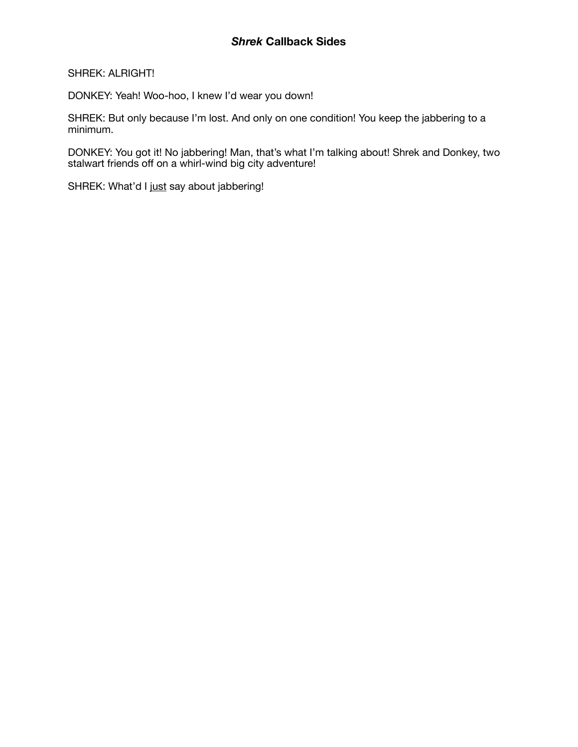SHREK: ALRIGHT!

DONKEY: Yeah! Woo-hoo, I knew I'd wear you down!

SHREK: But only because I'm lost. And only on one condition! You keep the jabbering to a minimum.

DONKEY: You got it! No jabbering! Man, that's what I'm talking about! Shrek and Donkey, two stalwart friends off on a whirl-wind big city adventure!

SHREK: What'd I just say about jabbering!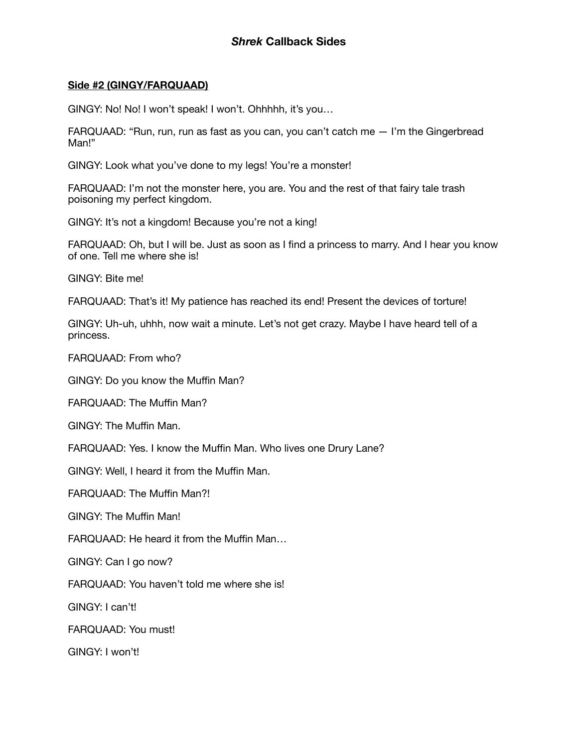## **Side #2 (GINGY/FARQUAAD)**

GINGY: No! No! I won't speak! I won't. Ohhhhh, it's you…

FARQUAAD: "Run, run, run as fast as you can, you can't catch me — I'm the Gingerbread Man!"

GINGY: Look what you've done to my legs! You're a monster!

FARQUAAD: I'm not the monster here, you are. You and the rest of that fairy tale trash poisoning my perfect kingdom.

GINGY: It's not a kingdom! Because you're not a king!

FARQUAAD: Oh, but I will be. Just as soon as I find a princess to marry. And I hear you know of one. Tell me where she is!

GINGY: Bite me!

FARQUAAD: That's it! My patience has reached its end! Present the devices of torture!

GINGY: Uh-uh, uhhh, now wait a minute. Let's not get crazy. Maybe I have heard tell of a princess.

FARQUAAD: From who?

GINGY: Do you know the Muffin Man?

FARQUAAD: The Muffin Man?

GINGY: The Muffin Man.

FARQUAAD: Yes. I know the Muffin Man. Who lives one Drury Lane?

GINGY: Well, I heard it from the Muffin Man.

FARQUAAD: The Muffin Man?!

GINGY: The Muffin Man!

FARQUAAD: He heard it from the Muffin Man…

GINGY: Can I go now?

FARQUAAD: You haven't told me where she is!

GINGY: I can't!

FARQUAAD: You must!

GINGY: I won't!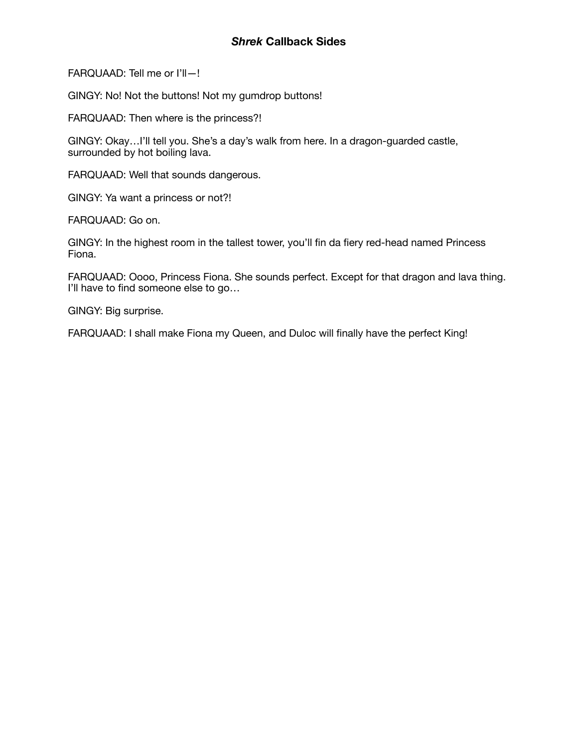FARQUAAD: Tell me or I'll—!

GINGY: No! Not the buttons! Not my gumdrop buttons!

FARQUAAD: Then where is the princess?!

GINGY: Okay…I'll tell you. She's a day's walk from here. In a dragon-guarded castle, surrounded by hot boiling lava.

FARQUAAD: Well that sounds dangerous.

GINGY: Ya want a princess or not?!

FARQUAAD: Go on.

GINGY: In the highest room in the tallest tower, you'll fin da fiery red-head named Princess Fiona.

FARQUAAD: Oooo, Princess Fiona. She sounds perfect. Except for that dragon and lava thing. I'll have to find someone else to go…

GINGY: Big surprise.

FARQUAAD: I shall make Fiona my Queen, and Duloc will finally have the perfect King!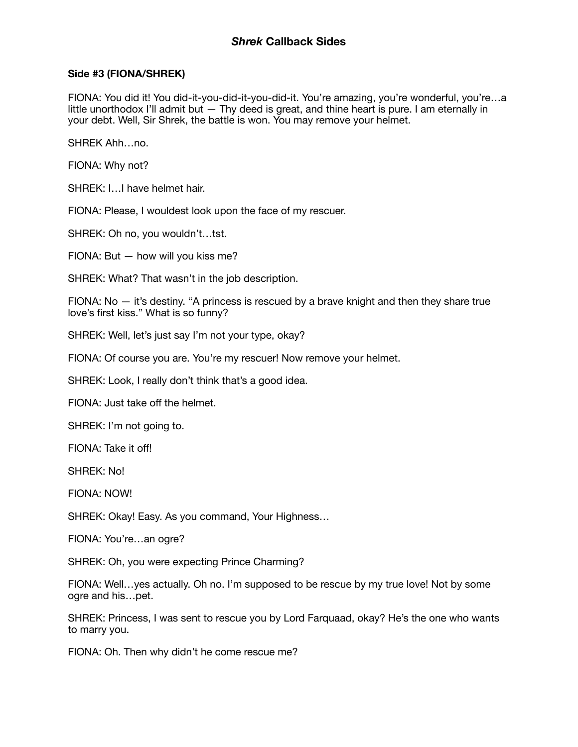## **Side #3 (FIONA/SHREK)**

FIONA: You did it! You did-it-you-did-it-you-did-it. You're amazing, you're wonderful, you're…a little unorthodox I'll admit but  $-$  Thy deed is great, and thine heart is pure. I am eternally in your debt. Well, Sir Shrek, the battle is won. You may remove your helmet.

SHREK Ahh…no.

FIONA: Why not?

SHREK: I…I have helmet hair.

FIONA: Please, I wouldest look upon the face of my rescuer.

SHREK: Oh no, you wouldn't…tst.

FIONA: But — how will you kiss me?

SHREK: What? That wasn't in the job description.

FIONA: No — it's destiny. "A princess is rescued by a brave knight and then they share true love's first kiss." What is so funny?

SHREK: Well, let's just say I'm not your type, okay?

FIONA: Of course you are. You're my rescuer! Now remove your helmet.

SHREK: Look, I really don't think that's a good idea.

FIONA: Just take off the helmet.

SHREK: I'm not going to.

FIONA: Take it off!

SHREK: No!

FIONA: NOW!

SHREK: Okay! Easy. As you command, Your Highness…

FIONA: You're…an ogre?

SHREK: Oh, you were expecting Prince Charming?

FIONA: Well…yes actually. Oh no. I'm supposed to be rescue by my true love! Not by some ogre and his…pet.

SHREK: Princess, I was sent to rescue you by Lord Farquaad, okay? He's the one who wants to marry you.

FIONA: Oh. Then why didn't he come rescue me?